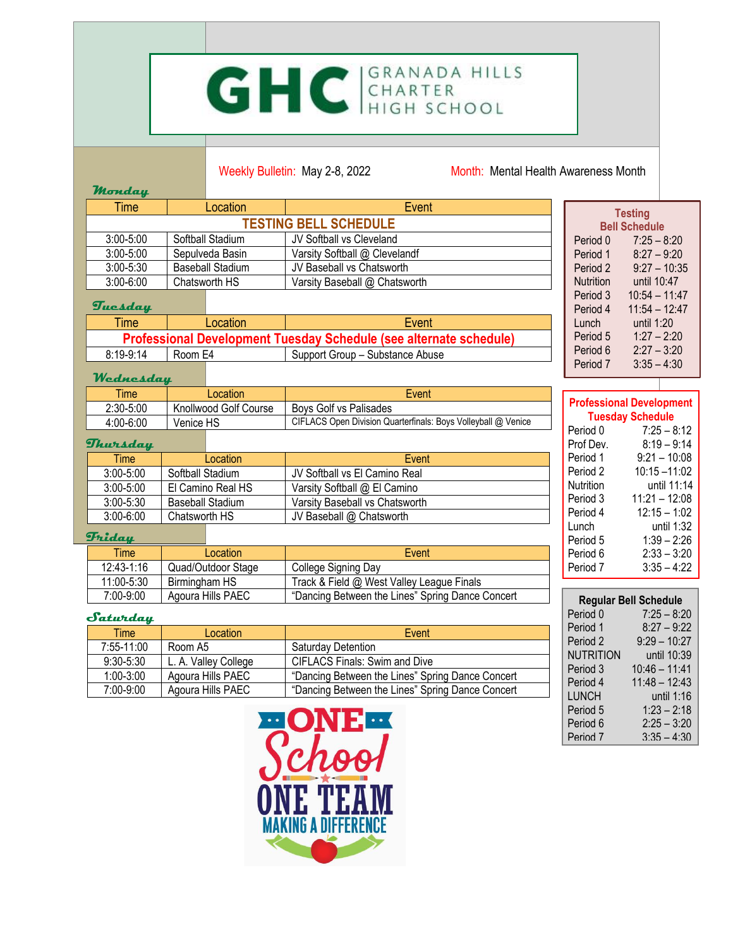# GHC GRANADA HILLS

Weekly Bulletin: May 2-8, 2022 Month: Mental Health Awareness Month

| Time                         | Location                | Event                         |                  | <b>Testing</b>       |
|------------------------------|-------------------------|-------------------------------|------------------|----------------------|
| <b>TESTING BELL SCHEDULE</b> |                         |                               |                  | <b>Bell Schedule</b> |
| $3:00 - 5:00$                | Softball Stadium        | JV Softball vs Cleveland      | Period 0         | $7:25 - 8:20$        |
| $3:00 - 5:00$                | Sepulveda Basin         | Varsity Softball @ Clevelandf | Period 1         | $8:27 - 9:20$        |
| $3:00 - 5:30$                | <b>Baseball Stadium</b> | JV Baseball vs Chatsworth     | Period 2         | $9:27 - 10:35$       |
| $3:00 - 6:00$                | Chatsworth HS           | Varsity Baseball @ Chatsworth | <b>Nutrition</b> | until 10:47          |
|                              |                         |                               | Period 3         | $10:54 - 11:47$      |
| Tuesday                      |                         |                               | Period 4         | $11:54 - 12:47$      |

### **Tuesday**

**Monday**

| <b>Time</b>                                                               | Location | Event                           |
|---------------------------------------------------------------------------|----------|---------------------------------|
| <b>Professional Development Tuesday Schedule (see alternate schedule)</b> |          |                                 |
| $8:19-9:14$                                                               | Room E4  | Support Group – Substance Abuse |

#### **Wednesday**

| <b>Time</b>   | Location                     | Event                                                         |
|---------------|------------------------------|---------------------------------------------------------------|
| $2:30 - 5:00$ | <b>Knollwood Golf Course</b> | Boys Golf vs Palisades                                        |
| 4:00-6:00     | Venice HS                    | CIFLACS Open Division Quarterfinals: Boys Volleyball @ Venice |

#### **Thursday**

| ⊺ime '        | Location                | Event                          |  |
|---------------|-------------------------|--------------------------------|--|
| $3:00 - 5:00$ | Softball Stadium        | JV Softball vs El Camino Real  |  |
| $3:00 - 5:00$ | El Camino Real HS       | Varsity Softball @ El Camino   |  |
| $3:00 - 5:30$ | <b>Baseball Stadium</b> | Varsity Baseball vs Chatsworth |  |
| $3:00 - 6:00$ | Chatsworth HS           | JV Baseball @ Chatsworth       |  |

#### **Friday**

| <b>Time</b>    | Location           | Event                                            |
|----------------|--------------------|--------------------------------------------------|
| $12:43 - 1:16$ | Quad/Outdoor Stage | College Signing Day                              |
| 11:00-5:30     | Birmingham HS      | Track & Field @ West Valley League Finals        |
| 7:00-9:00      | Agoura Hills PAEC  | "Dancing Between the Lines" Spring Dance Concert |

#### **Saturday**

| <b>Time</b>   | Location             | Event                                            |
|---------------|----------------------|--------------------------------------------------|
| 7:55-11:00    | Room A5              | Saturdav Detention                               |
| $9:30 - 5:30$ | L. A. Valley College | <b>CIFLACS Finals: Swim and Dive</b>             |
| $1:00 - 3:00$ | Agoura Hills PAEC    | "Dancing Between the Lines" Spring Dance Concert |
| $7:00-9:00$   | Agoura Hills PAEC    | "Dancing Between the Lines" Spring Dance Concert |



| Period 6<br>Period 7 | $2:27 - 3:20$<br>$3:35 - 4:30$  |
|----------------------|---------------------------------|
|                      |                                 |
|                      | <b>Professional Development</b> |
|                      | <b>Tuesday Schedule</b>         |
| Period 0             | $7:25 - 8:12$                   |
| Prof Dev.            | $8:19 - 9:14$                   |
| Period 1             | $9:21 - 10:08$                  |
| Period 2             | $10:15 - 11:02$                 |
| Nutrition            | until 11:14                     |
| Period 3             | $11:21 - 12:08$                 |
| Period 4             | $12:15 - 1:02$                  |
| Lunch                | until 1:32                      |
| Period 5             | $1:39 - 2:26$                   |
| Period 6             | $2:33 - 3:20$                   |
| Period 7             | $3:35 - 4:22$                   |

Lunch until 1:20<br>Period 5 1:27 – 2:2 Period 5 1:27 – 2:20<br>Period 6 2:27 – 3:20

|                     | <b>Regular Bell Schedule</b> |
|---------------------|------------------------------|
| Period 0            | $7:25 - 8:20$                |
| Period 1            | $8:27 - 9:22$                |
| Period <sub>2</sub> | $9:29 - 10:27$               |
| <b>NUTRITION</b>    | until 10:39                  |
| Period 3            | $10:46 - 11:41$              |
| Period 4            | $11:48 - 12:43$              |
| LUNCH               | until 1:16                   |
| Period 5            | $1:23 - 2:18$                |
| Period 6            | $2:25 - 3:20$                |
| Period 7            | $3:35 - 4:30$                |